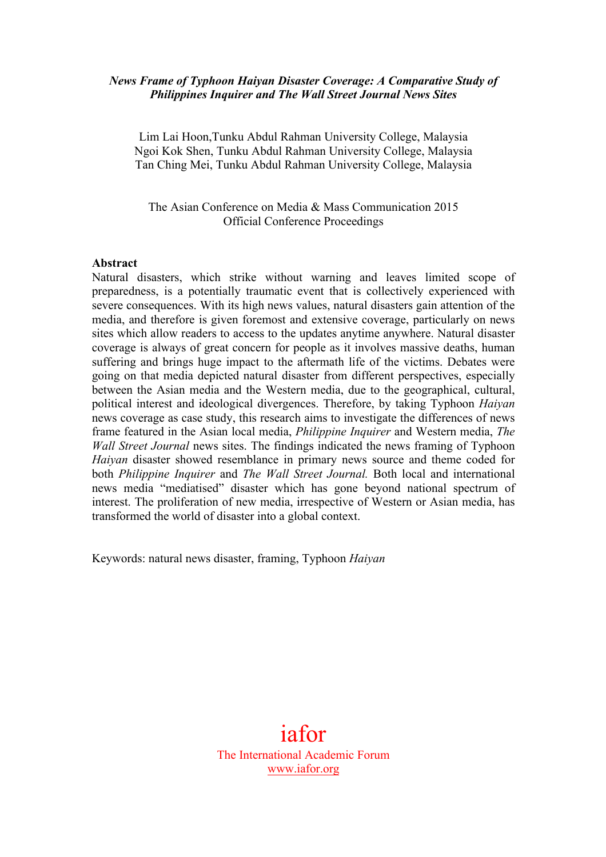## *News Frame of Typhoon Haiyan Disaster Coverage: A Comparative Study of Philippines Inquirer and The Wall Street Journal News Sites*

Lim Lai Hoon,Tunku Abdul Rahman University College, Malaysia Ngoi Kok Shen, Tunku Abdul Rahman University College, Malaysia Tan Ching Mei, Tunku Abdul Rahman University College, Malaysia

The Asian Conference on Media & Mass Communication 2015 Official Conference Proceedings

#### **Abstract**

Natural disasters, which strike without warning and leaves limited scope of preparedness, is a potentially traumatic event that is collectively experienced with severe consequences. With its high news values, natural disasters gain attention of the media, and therefore is given foremost and extensive coverage, particularly on news sites which allow readers to access to the updates anytime anywhere. Natural disaster coverage is always of great concern for people as it involves massive deaths, human suffering and brings huge impact to the aftermath life of the victims. Debates were going on that media depicted natural disaster from different perspectives, especially between the Asian media and the Western media, due to the geographical, cultural, political interest and ideological divergences. Therefore, by taking Typhoon *Haiyan* news coverage as case study, this research aims to investigate the differences of news frame featured in the Asian local media, *Philippine Inquirer* and Western media, *The Wall Street Journal* news sites. The findings indicated the news framing of Typhoon *Haiyan* disaster showed resemblance in primary news source and theme coded for both *Philippine Inquirer* and *The Wall Street Journal.* Both local and international news media "mediatised" disaster which has gone beyond national spectrum of interest. The proliferation of new media, irrespective of Western or Asian media, has transformed the world of disaster into a global context.

Keywords: natural news disaster, framing, Typhoon *Haiyan*

iafor The International Academic Forum www.iafor.org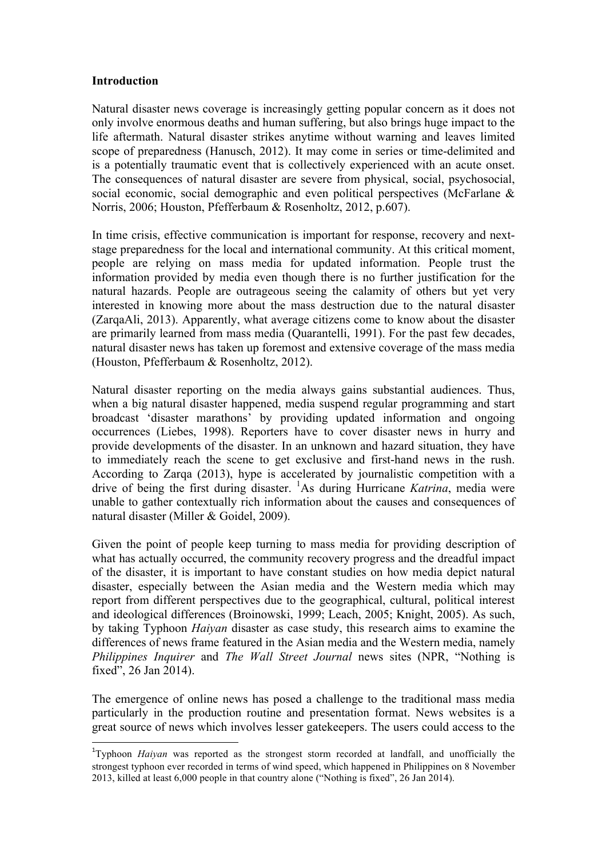#### **Introduction**

Natural disaster news coverage is increasingly getting popular concern as it does not only involve enormous deaths and human suffering, but also brings huge impact to the life aftermath. Natural disaster strikes anytime without warning and leaves limited scope of preparedness (Hanusch, 2012). It may come in series or time-delimited and is a potentially traumatic event that is collectively experienced with an acute onset. The consequences of natural disaster are severe from physical, social, psychosocial, social economic, social demographic and even political perspectives (McFarlane & Norris, 2006; Houston, Pfefferbaum & Rosenholtz, 2012, p.607).

In time crisis, effective communication is important for response, recovery and nextstage preparedness for the local and international community. At this critical moment, people are relying on mass media for updated information. People trust the information provided by media even though there is no further justification for the natural hazards. People are outrageous seeing the calamity of others but yet very interested in knowing more about the mass destruction due to the natural disaster (ZarqaAli, 2013). Apparently, what average citizens come to know about the disaster are primarily learned from mass media (Quarantelli, 1991). For the past few decades, natural disaster news has taken up foremost and extensive coverage of the mass media (Houston, Pfefferbaum & Rosenholtz, 2012).

Natural disaster reporting on the media always gains substantial audiences. Thus, when a big natural disaster happened, media suspend regular programming and start broadcast 'disaster marathons' by providing updated information and ongoing occurrences (Liebes, 1998). Reporters have to cover disaster news in hurry and provide developments of the disaster. In an unknown and hazard situation, they have to immediately reach the scene to get exclusive and first-hand news in the rush. According to Zarqa (2013), hype is accelerated by journalistic competition with a drive of being the first during disaster. <sup>1</sup> As during Hurricane *Katrina*, media were unable to gather contextually rich information about the causes and consequences of natural disaster (Miller & Goidel, 2009).

Given the point of people keep turning to mass media for providing description of what has actually occurred, the community recovery progress and the dreadful impact of the disaster, it is important to have constant studies on how media depict natural disaster, especially between the Asian media and the Western media which may report from different perspectives due to the geographical, cultural, political interest and ideological differences (Broinowski, 1999; Leach, 2005; Knight, 2005). As such, by taking Typhoon *Haiyan* disaster as case study, this research aims to examine the differences of news frame featured in the Asian media and the Western media, namely *Philippines Inquirer* and *The Wall Street Journal* news sites (NPR, "Nothing is fixed", 26 Jan 2014).

The emergence of online news has posed a challenge to the traditional mass media particularly in the production routine and presentation format. News websites is a great source of news which involves lesser gatekeepers. The users could access to the

 

<sup>&</sup>lt;sup>1</sup>Typhoon *Haiyan* was reported as the strongest storm recorded at landfall, and unofficially the strongest typhoon ever recorded in terms of wind speed, which happened in Philippines on 8 November 2013, killed at least 6,000 people in that country alone ("Nothing is fixed", 26 Jan 2014).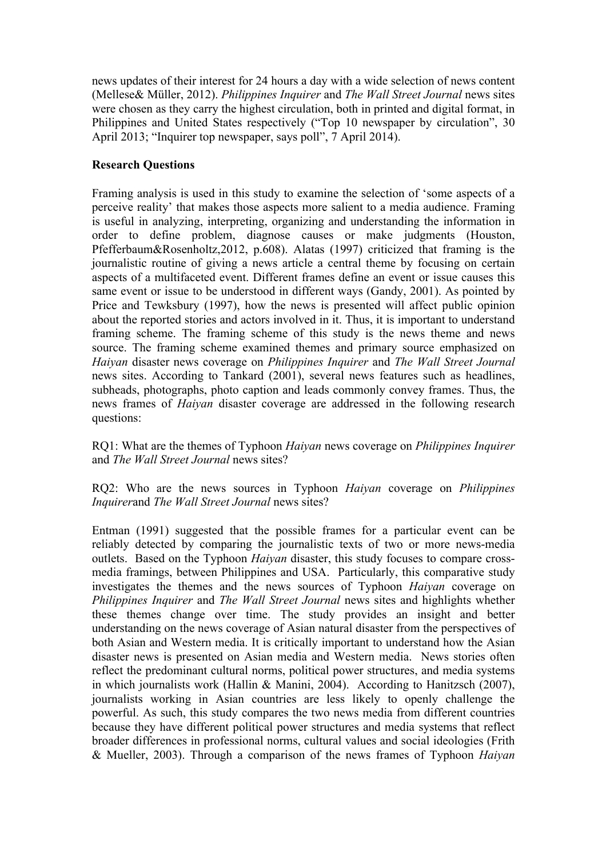news updates of their interest for 24 hours a day with a wide selection of news content (Mellese& Müller, 2012). *Philippines Inquirer* and *The Wall Street Journal* news sites were chosen as they carry the highest circulation, both in printed and digital format, in Philippines and United States respectively ("Top 10 newspaper by circulation", 30 April 2013; "Inquirer top newspaper, says poll", 7 April 2014).

## **Research Questions**

Framing analysis is used in this study to examine the selection of 'some aspects of a perceive reality' that makes those aspects more salient to a media audience. Framing is useful in analyzing, interpreting, organizing and understanding the information in order to define problem, diagnose causes or make judgments (Houston, Pfefferbaum&Rosenholtz,2012, p.608). Alatas (1997) criticized that framing is the journalistic routine of giving a news article a central theme by focusing on certain aspects of a multifaceted event. Different frames define an event or issue causes this same event or issue to be understood in different ways (Gandy, 2001). As pointed by Price and Tewksbury (1997), how the news is presented will affect public opinion about the reported stories and actors involved in it. Thus, it is important to understand framing scheme. The framing scheme of this study is the news theme and news source. The framing scheme examined themes and primary source emphasized on *Haiyan* disaster news coverage on *Philippines Inquirer* and *The Wall Street Journal* news sites. According to Tankard (2001), several news features such as headlines, subheads, photographs, photo caption and leads commonly convey frames. Thus, the news frames of *Haiyan* disaster coverage are addressed in the following research questions:

RQ1: What are the themes of Typhoon *Haiyan* news coverage on *Philippines Inquirer* and *The Wall Street Journal* news sites?

RQ2: Who are the news sources in Typhoon *Haiyan* coverage on *Philippines Inquirer*and *The Wall Street Journal* news sites?

Entman (1991) suggested that the possible frames for a particular event can be reliably detected by comparing the journalistic texts of two or more news-media outlets. Based on the Typhoon *Haiyan* disaster, this study focuses to compare crossmedia framings, between Philippines and USA. Particularly, this comparative study investigates the themes and the news sources of Typhoon *Haiyan* coverage on *Philippines Inquirer* and *The Wall Street Journal* news sites and highlights whether these themes change over time. The study provides an insight and better understanding on the news coverage of Asian natural disaster from the perspectives of both Asian and Western media. It is critically important to understand how the Asian disaster news is presented on Asian media and Western media. News stories often reflect the predominant cultural norms, political power structures, and media systems in which journalists work (Hallin & Manini, 2004). According to Hanitzsch (2007), journalists working in Asian countries are less likely to openly challenge the powerful. As such, this study compares the two news media from different countries because they have different political power structures and media systems that reflect broader differences in professional norms, cultural values and social ideologies (Frith & Mueller, 2003). Through a comparison of the news frames of Typhoon *Haiyan*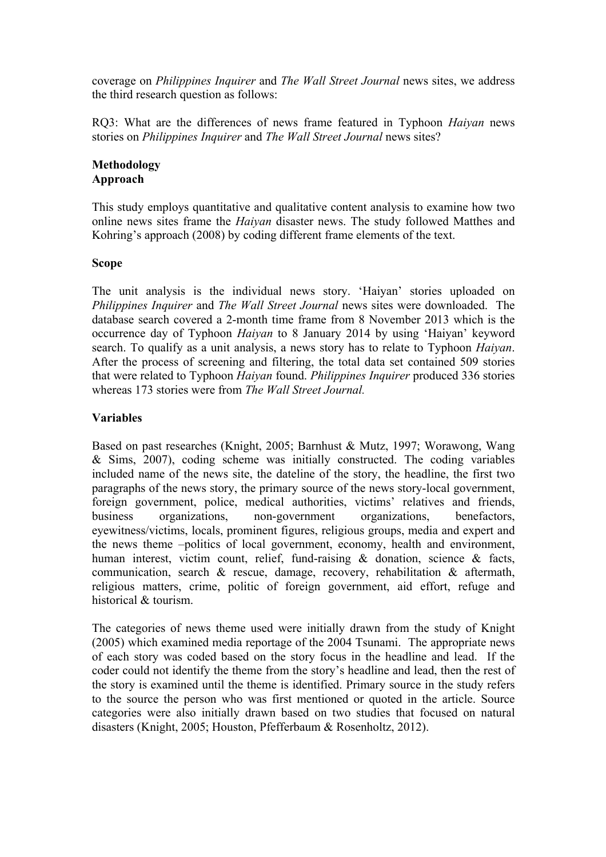coverage on *Philippines Inquirer* and *The Wall Street Journal* news sites, we address the third research question as follows:

RQ3: What are the differences of news frame featured in Typhoon *Haiyan* news stories on *Philippines Inquirer* and *The Wall Street Journal* news sites?

#### **Methodology Approach**

This study employs quantitative and qualitative content analysis to examine how two online news sites frame the *Haiyan* disaster news. The study followed Matthes and Kohring's approach (2008) by coding different frame elements of the text.

#### **Scope**

The unit analysis is the individual news story. 'Haiyan' stories uploaded on *Philippines Inquirer* and *The Wall Street Journal* news sites were downloaded. The database search covered a 2-month time frame from 8 November 2013 which is the occurrence day of Typhoon *Haiyan* to 8 January 2014 by using 'Haiyan' keyword search. To qualify as a unit analysis, a news story has to relate to Typhoon *Haiyan*. After the process of screening and filtering, the total data set contained 509 stories that were related to Typhoon *Haiyan* found. *Philippines Inquirer* produced 336 stories whereas 173 stories were from *The Wall Street Journal.* 

#### **Variables**

Based on past researches (Knight, 2005; Barnhust & Mutz, 1997; Worawong, Wang & Sims, 2007), coding scheme was initially constructed. The coding variables included name of the news site, the dateline of the story, the headline, the first two paragraphs of the news story, the primary source of the news story-local government, foreign government, police, medical authorities, victims' relatives and friends, business organizations, non-government organizations, benefactors, eyewitness/victims, locals, prominent figures, religious groups, media and expert and the news theme –politics of local government, economy, health and environment, human interest, victim count, relief, fund-raising & donation, science & facts, communication, search & rescue, damage, recovery, rehabilitation & aftermath, religious matters, crime, politic of foreign government, aid effort, refuge and historical & tourism.

The categories of news theme used were initially drawn from the study of Knight (2005) which examined media reportage of the 2004 Tsunami. The appropriate news of each story was coded based on the story focus in the headline and lead. If the coder could not identify the theme from the story's headline and lead, then the rest of the story is examined until the theme is identified. Primary source in the study refers to the source the person who was first mentioned or quoted in the article. Source categories were also initially drawn based on two studies that focused on natural disasters (Knight, 2005; Houston, Pfefferbaum & Rosenholtz, 2012).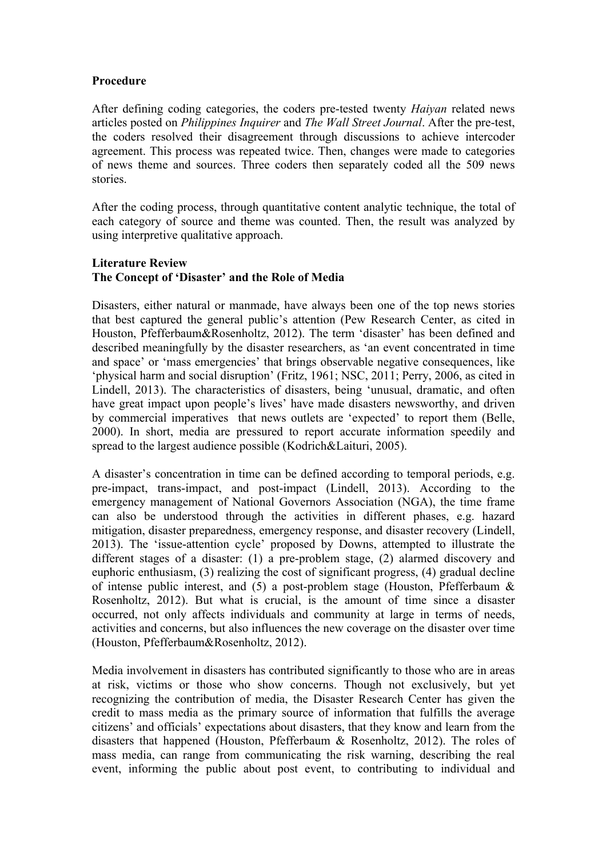## **Procedure**

After defining coding categories, the coders pre-tested twenty *Haiyan* related news articles posted on *Philippines Inquirer* and *The Wall Street Journal*. After the pre-test, the coders resolved their disagreement through discussions to achieve intercoder agreement. This process was repeated twice. Then, changes were made to categories of news theme and sources. Three coders then separately coded all the 509 news stories.

After the coding process, through quantitative content analytic technique, the total of each category of source and theme was counted. Then, the result was analyzed by using interpretive qualitative approach.

## **Literature Review The Concept of 'Disaster' and the Role of Media**

Disasters, either natural or manmade, have always been one of the top news stories that best captured the general public's attention (Pew Research Center, as cited in Houston, Pfefferbaum&Rosenholtz, 2012). The term 'disaster' has been defined and described meaningfully by the disaster researchers, as 'an event concentrated in time and space' or 'mass emergencies' that brings observable negative consequences, like 'physical harm and social disruption' (Fritz, 1961; NSC, 2011; Perry, 2006, as cited in Lindell, 2013). The characteristics of disasters, being 'unusual, dramatic, and often have great impact upon people's lives' have made disasters newsworthy, and driven by commercial imperatives that news outlets are 'expected' to report them (Belle, 2000). In short, media are pressured to report accurate information speedily and spread to the largest audience possible (Kodrich&Laituri, 2005).

A disaster's concentration in time can be defined according to temporal periods, e.g. pre-impact, trans-impact, and post-impact (Lindell, 2013). According to the emergency management of National Governors Association (NGA), the time frame can also be understood through the activities in different phases, e.g. hazard mitigation, disaster preparedness, emergency response, and disaster recovery (Lindell, 2013). The 'issue-attention cycle' proposed by Downs, attempted to illustrate the different stages of a disaster: (1) a pre-problem stage, (2) alarmed discovery and euphoric enthusiasm, (3) realizing the cost of significant progress, (4) gradual decline of intense public interest, and  $(5)$  a post-problem stage (Houston, Pfefferbaum  $\&$ Rosenholtz, 2012). But what is crucial, is the amount of time since a disaster occurred, not only affects individuals and community at large in terms of needs, activities and concerns, but also influences the new coverage on the disaster over time (Houston, Pfefferbaum&Rosenholtz, 2012).

Media involvement in disasters has contributed significantly to those who are in areas at risk, victims or those who show concerns. Though not exclusively, but yet recognizing the contribution of media, the Disaster Research Center has given the credit to mass media as the primary source of information that fulfills the average citizens' and officials' expectations about disasters, that they know and learn from the disasters that happened (Houston, Pfefferbaum & Rosenholtz, 2012). The roles of mass media, can range from communicating the risk warning, describing the real event, informing the public about post event, to contributing to individual and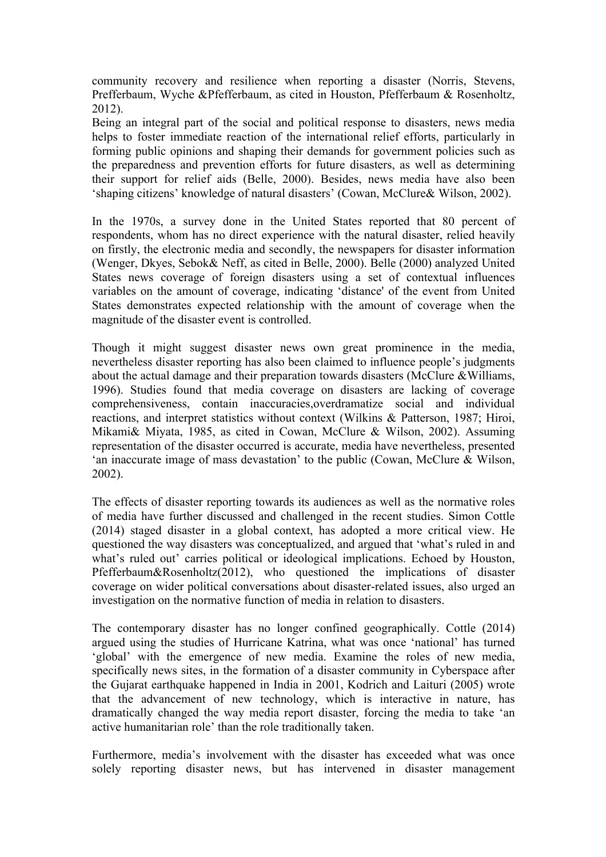community recovery and resilience when reporting a disaster (Norris, Stevens, Prefferbaum, Wyche &Pfefferbaum, as cited in Houston, Pfefferbaum & Rosenholtz, 2012).

Being an integral part of the social and political response to disasters, news media helps to foster immediate reaction of the international relief efforts, particularly in forming public opinions and shaping their demands for government policies such as the preparedness and prevention efforts for future disasters, as well as determining their support for relief aids (Belle, 2000). Besides, news media have also been 'shaping citizens' knowledge of natural disasters' (Cowan, McClure& Wilson, 2002).

In the 1970s, a survey done in the United States reported that 80 percent of respondents, whom has no direct experience with the natural disaster, relied heavily on firstly, the electronic media and secondly, the newspapers for disaster information (Wenger, Dkyes, Sebok& Neff, as cited in Belle, 2000). Belle (2000) analyzed United States news coverage of foreign disasters using a set of contextual influences variables on the amount of coverage, indicating 'distance' of the event from United States demonstrates expected relationship with the amount of coverage when the magnitude of the disaster event is controlled.

Though it might suggest disaster news own great prominence in the media, nevertheless disaster reporting has also been claimed to influence people's judgments about the actual damage and their preparation towards disasters (McClure  $&$  Williams, 1996). Studies found that media coverage on disasters are lacking of coverage comprehensiveness, contain inaccuracies,overdramatize social and individual reactions, and interpret statistics without context (Wilkins & Patterson, 1987; Hiroi, Mikami& Miyata, 1985, as cited in Cowan, McClure & Wilson, 2002). Assuming representation of the disaster occurred is accurate, media have nevertheless, presented 'an inaccurate image of mass devastation' to the public (Cowan, McClure & Wilson, 2002).

The effects of disaster reporting towards its audiences as well as the normative roles of media have further discussed and challenged in the recent studies. Simon Cottle (2014) staged disaster in a global context, has adopted a more critical view. He questioned the way disasters was conceptualized, and argued that 'what's ruled in and what's ruled out' carries political or ideological implications. Echoed by Houston, Pfefferbaum&Rosenholtz(2012), who questioned the implications of disaster coverage on wider political conversations about disaster-related issues, also urged an investigation on the normative function of media in relation to disasters.

The contemporary disaster has no longer confined geographically. Cottle (2014) argued using the studies of Hurricane Katrina, what was once 'national' has turned 'global' with the emergence of new media. Examine the roles of new media, specifically news sites, in the formation of a disaster community in Cyberspace after the Gujarat earthquake happened in India in 2001, Kodrich and Laituri (2005) wrote that the advancement of new technology, which is interactive in nature, has dramatically changed the way media report disaster, forcing the media to take 'an active humanitarian role' than the role traditionally taken.

Furthermore, media's involvement with the disaster has exceeded what was once solely reporting disaster news, but has intervened in disaster management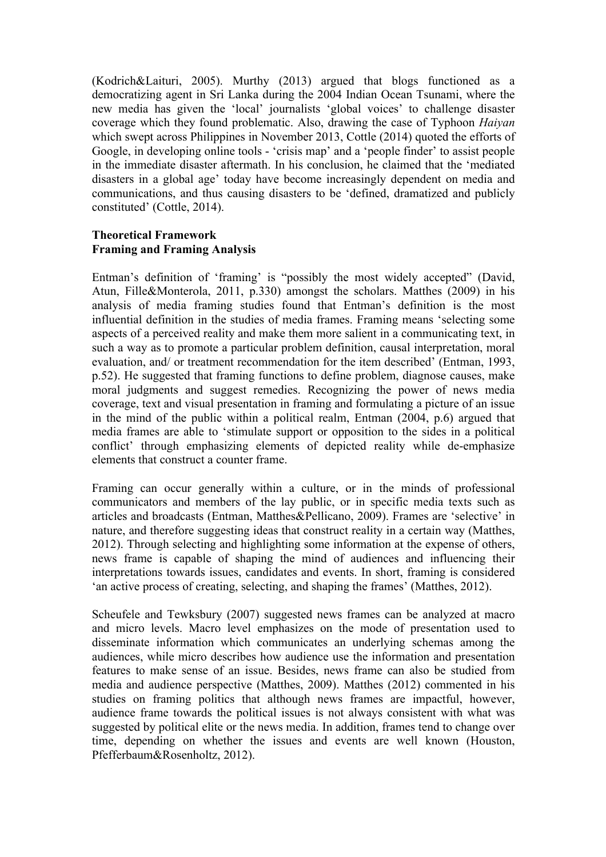(Kodrich&Laituri, 2005). Murthy (2013) argued that blogs functioned as a democratizing agent in Sri Lanka during the 2004 Indian Ocean Tsunami, where the new media has given the 'local' journalists 'global voices' to challenge disaster coverage which they found problematic. Also, drawing the case of Typhoon *Haiyan* which swept across Philippines in November 2013, Cottle (2014) quoted the efforts of Google, in developing online tools - 'crisis map' and a 'people finder' to assist people in the immediate disaster aftermath. In his conclusion, he claimed that the 'mediated disasters in a global age' today have become increasingly dependent on media and communications, and thus causing disasters to be 'defined, dramatized and publicly constituted' (Cottle, 2014).

## **Theoretical Framework Framing and Framing Analysis**

Entman's definition of 'framing' is "possibly the most widely accepted" (David, Atun, Fille&Monterola, 2011, p.330) amongst the scholars. Matthes (2009) in his analysis of media framing studies found that Entman's definition is the most influential definition in the studies of media frames. Framing means 'selecting some aspects of a perceived reality and make them more salient in a communicating text, in such a way as to promote a particular problem definition, causal interpretation, moral evaluation, and/ or treatment recommendation for the item described' (Entman, 1993, p.52). He suggested that framing functions to define problem, diagnose causes, make moral judgments and suggest remedies. Recognizing the power of news media coverage, text and visual presentation in framing and formulating a picture of an issue in the mind of the public within a political realm, Entman (2004, p.6) argued that media frames are able to 'stimulate support or opposition to the sides in a political conflict' through emphasizing elements of depicted reality while de-emphasize elements that construct a counter frame.

Framing can occur generally within a culture, or in the minds of professional communicators and members of the lay public, or in specific media texts such as articles and broadcasts (Entman, Matthes&Pellicano, 2009). Frames are 'selective' in nature, and therefore suggesting ideas that construct reality in a certain way (Matthes, 2012). Through selecting and highlighting some information at the expense of others, news frame is capable of shaping the mind of audiences and influencing their interpretations towards issues, candidates and events. In short, framing is considered 'an active process of creating, selecting, and shaping the frames' (Matthes, 2012).

Scheufele and Tewksbury (2007) suggested news frames can be analyzed at macro and micro levels. Macro level emphasizes on the mode of presentation used to disseminate information which communicates an underlying schemas among the audiences, while micro describes how audience use the information and presentation features to make sense of an issue. Besides, news frame can also be studied from media and audience perspective (Matthes, 2009). Matthes (2012) commented in his studies on framing politics that although news frames are impactful, however, audience frame towards the political issues is not always consistent with what was suggested by political elite or the news media. In addition, frames tend to change over time, depending on whether the issues and events are well known (Houston, Pfefferbaum&Rosenholtz, 2012).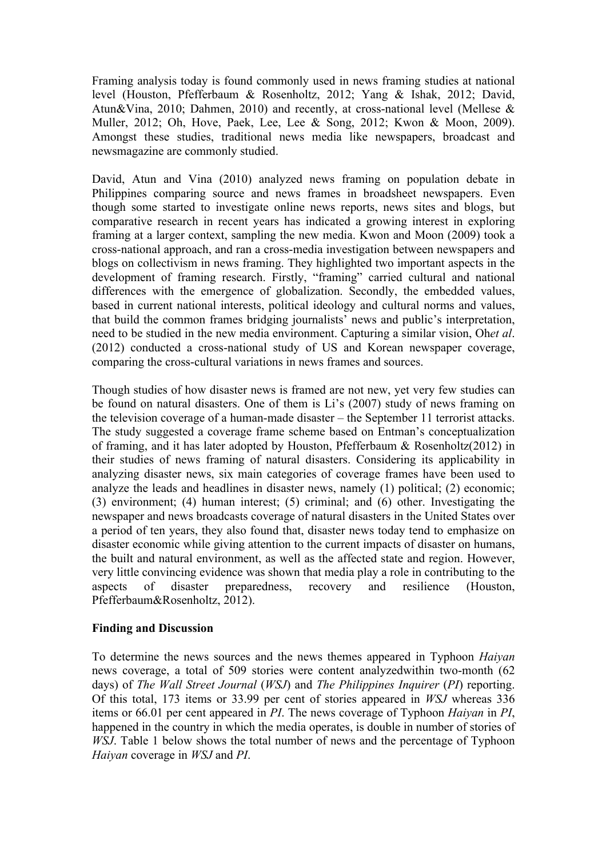Framing analysis today is found commonly used in news framing studies at national level (Houston, Pfefferbaum & Rosenholtz, 2012; Yang & Ishak, 2012; David, Atun&Vina, 2010; Dahmen, 2010) and recently, at cross-national level (Mellese & Muller, 2012; Oh, Hove, Paek, Lee, Lee & Song, 2012; Kwon & Moon, 2009). Amongst these studies, traditional news media like newspapers, broadcast and newsmagazine are commonly studied.

David, Atun and Vina (2010) analyzed news framing on population debate in Philippines comparing source and news frames in broadsheet newspapers. Even though some started to investigate online news reports, news sites and blogs, but comparative research in recent years has indicated a growing interest in exploring framing at a larger context, sampling the new media. Kwon and Moon (2009) took a cross-national approach, and ran a cross-media investigation between newspapers and blogs on collectivism in news framing. They highlighted two important aspects in the development of framing research. Firstly, "framing" carried cultural and national differences with the emergence of globalization. Secondly, the embedded values, based in current national interests, political ideology and cultural norms and values, that build the common frames bridging journalists' news and public's interpretation, need to be studied in the new media environment. Capturing a similar vision, Oh*et al*. (2012) conducted a cross-national study of US and Korean newspaper coverage, comparing the cross-cultural variations in news frames and sources.

Though studies of how disaster news is framed are not new, yet very few studies can be found on natural disasters. One of them is Li's (2007) study of news framing on the television coverage of a human-made disaster – the September 11 terrorist attacks. The study suggested a coverage frame scheme based on Entman's conceptualization of framing, and it has later adopted by Houston, Pfefferbaum & Rosenholtz(2012) in their studies of news framing of natural disasters. Considering its applicability in analyzing disaster news, six main categories of coverage frames have been used to analyze the leads and headlines in disaster news, namely (1) political; (2) economic; (3) environment; (4) human interest; (5) criminal; and (6) other. Investigating the newspaper and news broadcasts coverage of natural disasters in the United States over a period of ten years, they also found that, disaster news today tend to emphasize on disaster economic while giving attention to the current impacts of disaster on humans, the built and natural environment, as well as the affected state and region. However, very little convincing evidence was shown that media play a role in contributing to the aspects of disaster preparedness, recovery and resilience (Houston, Pfefferbaum&Rosenholtz, 2012).

## **Finding and Discussion**

To determine the news sources and the news themes appeared in Typhoon *Haiyan* news coverage, a total of 509 stories were content analyzedwithin two-month (62 days) of *The Wall Street Journal* (*WSJ*) and *The Philippines Inquirer* (*PI*) reporting. Of this total, 173 items or 33.99 per cent of stories appeared in *WSJ* whereas 336 items or 66.01 per cent appeared in *PI*. The news coverage of Typhoon *Haiyan* in *PI*, happened in the country in which the media operates, is double in number of stories of *WSJ*. Table 1 below shows the total number of news and the percentage of Typhoon *Haiyan* coverage in *WSJ* and *PI*.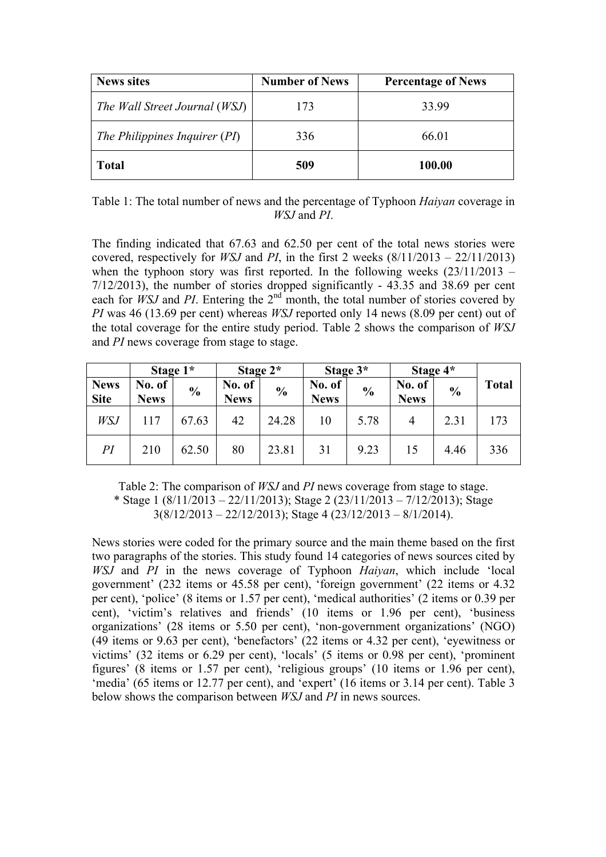| <b>News sites</b>             | <b>Number of News</b> | <b>Percentage of News</b> |
|-------------------------------|-----------------------|---------------------------|
| The Wall Street Journal (WSJ) | 173                   | 33.99                     |
| The Philippines Inquirer (PI) | 336                   | 66.01                     |
| <b>Total</b>                  | 509                   | 100.00                    |

Table 1: The total number of news and the percentage of Typhoon *Haiyan* coverage in *WSJ* and *PI*.

The finding indicated that 67.63 and 62.50 per cent of the total news stories were covered, respectively for *WSJ* and *PI*, in the first 2 weeks  $(8/11/2013 - 22/11/2013)$ when the typhoon story was first reported. In the following weeks  $(23/11/2013 -$ 7/12/2013), the number of stories dropped significantly - 43.35 and 38.69 per cent each for *WSJ* and *PI*. Entering the 2<sup>nd</sup> month, the total number of stories covered by *PI* was 46 (13.69 per cent) whereas *WSJ* reported only 14 news (8.09 per cent) out of the total coverage for the entire study period. Table 2 shows the comparison of *WSJ* and *PI* news coverage from stage to stage.

|                            | Stage 1*              |               | Stage $2^*$           |               | Stage 3*              |               | Stage 4*              |               |              |
|----------------------------|-----------------------|---------------|-----------------------|---------------|-----------------------|---------------|-----------------------|---------------|--------------|
| <b>News</b><br><b>Site</b> | No. of<br><b>News</b> | $\frac{6}{6}$ | No. of<br><b>News</b> | $\frac{6}{6}$ | No. of<br><b>News</b> | $\frac{6}{6}$ | No. of<br><b>News</b> | $\frac{0}{0}$ | <b>Total</b> |
| WSJ                        | 117                   | 67.63         | 42                    | 24.28         | 10                    | 5.78          | $\overline{4}$        | 2.31          | 173          |
| PI                         | 210                   | 62.50         | 80                    | 23.81         | 31                    | 9.23          | 15                    | 4.46          | 336          |

Table 2: The comparison of *WSJ* and *PI* news coverage from stage to stage. \* Stage 1 (8/11/2013 – 22/11/2013); Stage 2 (23/11/2013 – 7/12/2013); Stage  $3(8/12/2013 - 22/12/2013)$ ; Stage 4 (23/12/2013 – 8/1/2014).

News stories were coded for the primary source and the main theme based on the first two paragraphs of the stories. This study found 14 categories of news sources cited by *WSJ* and *PI* in the news coverage of Typhoon *Haiyan*, which include 'local government' (232 items or 45.58 per cent), 'foreign government' (22 items or 4.32 per cent), 'police' (8 items or 1.57 per cent), 'medical authorities' (2 items or 0.39 per cent), 'victim's relatives and friends' (10 items or 1.96 per cent), 'business organizations' (28 items or 5.50 per cent), 'non-government organizations' (NGO) (49 items or 9.63 per cent), 'benefactors' (22 items or 4.32 per cent), 'eyewitness or victims' (32 items or 6.29 per cent), 'locals' (5 items or 0.98 per cent), 'prominent figures' (8 items or 1.57 per cent), 'religious groups' (10 items or 1.96 per cent), 'media' (65 items or 12.77 per cent), and 'expert' (16 items or 3.14 per cent). Table 3 below shows the comparison between *WSJ* and *PI* in news sources.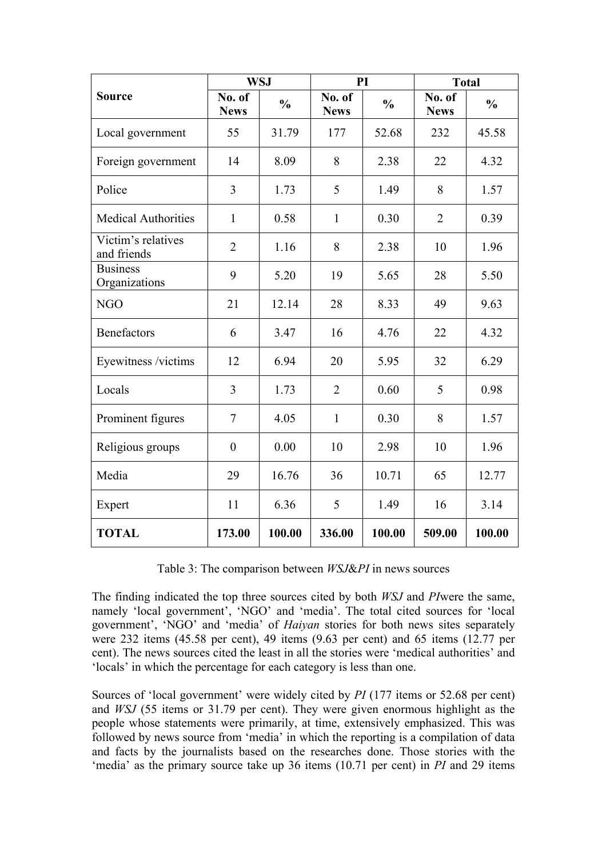|                                   | <b>WSJ</b>            |               | PI                    |               | <b>Total</b>          |               |
|-----------------------------------|-----------------------|---------------|-----------------------|---------------|-----------------------|---------------|
| <b>Source</b>                     | No. of<br><b>News</b> | $\frac{0}{0}$ | No. of<br><b>News</b> | $\frac{0}{0}$ | No. of<br><b>News</b> | $\frac{0}{0}$ |
| Local government                  | 55                    | 31.79         | 177                   | 52.68         | 232                   | 45.58         |
| Foreign government                | 14                    | 8.09          | 8                     | 2.38          | 22                    | 4.32          |
| Police                            | 3                     | 1.73          | 5                     | 1.49          | 8                     | 1.57          |
| <b>Medical Authorities</b>        | $\mathbf{1}$          | 0.58          | $\mathbf{1}$          | 0.30          | $\overline{2}$        | 0.39          |
| Victim's relatives<br>and friends | $\overline{2}$        | 1.16          | 8                     | 2.38          | 10                    | 1.96          |
| <b>Business</b><br>Organizations  | 9                     | 5.20          | 19                    | 5.65          | 28                    | 5.50          |
| <b>NGO</b>                        | 21                    | 12.14         | 28                    | 8.33          | 49                    | 9.63          |
| <b>Benefactors</b>                | 6                     | 3.47          | 16                    | 4.76          | 22                    | 4.32          |
| Eyewitness /victims               | 12                    | 6.94          | 20                    | 5.95          | 32                    | 6.29          |
| Locals                            | 3                     | 1.73          | $\overline{2}$        | 0.60          | 5                     | 0.98          |
| Prominent figures                 | $\overline{7}$        | 4.05          | $\mathbf{1}$          | 0.30          | 8                     | 1.57          |
| Religious groups                  | $\overline{0}$        | 0.00          | 10                    | 2.98          | 10                    | 1.96          |
| Media                             | 29                    | 16.76         | 36                    | 10.71         | 65                    | 12.77         |
| Expert                            | 11                    | 6.36          | 5                     | 1.49          | 16                    | 3.14          |
| <b>TOTAL</b>                      | 173.00                | 100.00        | 336.00                | 100.00        | 509.00                | 100.00        |

Table 3: The comparison between *WSJ*&*PI* in news sources

The finding indicated the top three sources cited by both *WSJ* and *PI*were the same, namely 'local government', 'NGO' and 'media'. The total cited sources for 'local government', 'NGO' and 'media' of *Haiyan* stories for both news sites separately were 232 items (45.58 per cent), 49 items (9.63 per cent) and 65 items (12.77 per cent). The news sources cited the least in all the stories were 'medical authorities' and 'locals' in which the percentage for each category is less than one.

Sources of 'local government' were widely cited by *PI* (177 items or 52.68 per cent) and *WSJ* (55 items or 31.79 per cent). They were given enormous highlight as the people whose statements were primarily, at time, extensively emphasized. This was followed by news source from 'media' in which the reporting is a compilation of data and facts by the journalists based on the researches done. Those stories with the 'media' as the primary source take up 36 items (10.71 per cent) in *PI* and 29 items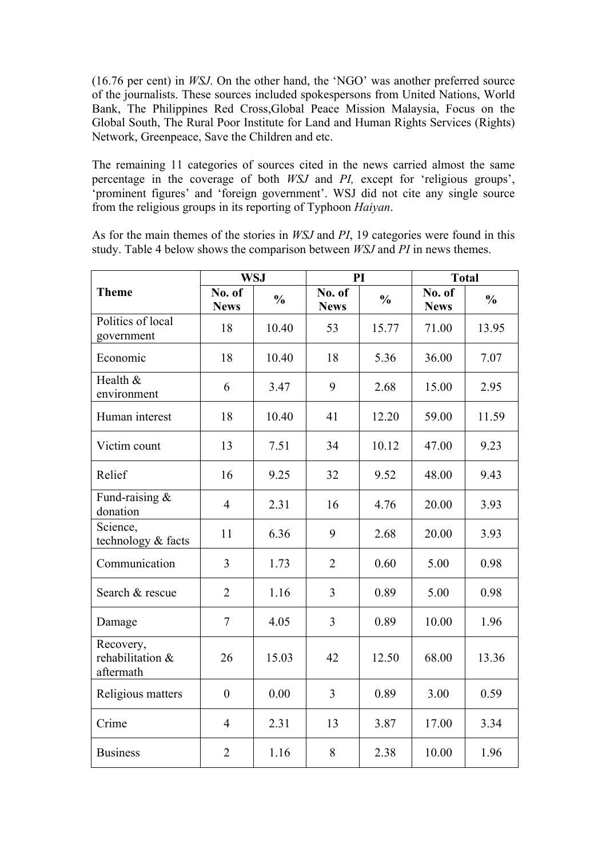(16.76 per cent) in *WSJ*. On the other hand, the 'NGO' was another preferred source of the journalists. These sources included spokespersons from United Nations, World Bank, The Philippines Red Cross,Global Peace Mission Malaysia, Focus on the Global South, The Rural Poor Institute for Land and Human Rights Services (Rights) Network, Greenpeace, Save the Children and etc.

The remaining 11 categories of sources cited in the news carried almost the same percentage in the coverage of both *WSJ* and *PI,* except for 'religious groups', 'prominent figures' and 'foreign government'. WSJ did not cite any single source from the religious groups in its reporting of Typhoon *Haiyan*.

As for the main themes of the stories in *WSJ* and *PI*, 19 categories were found in this study. Table 4 below shows the comparison between *WSJ* and *PI* in news themes.

|                                            | <b>WSJ</b>            |               | PI                    |               | <b>Total</b>          |               |
|--------------------------------------------|-----------------------|---------------|-----------------------|---------------|-----------------------|---------------|
| <b>Theme</b>                               | No. of<br><b>News</b> | $\frac{0}{0}$ | No. of<br><b>News</b> | $\frac{0}{0}$ | No. of<br><b>News</b> | $\frac{0}{0}$ |
| Politics of local<br>government            | 18                    | 10.40         | 53                    | 15.77         | 71.00                 | 13.95         |
| Economic                                   | 18                    | 10.40         | 18                    | 5.36          | 36.00                 | 7.07          |
| Health &<br>environment                    | 6                     | 3.47          | 9                     | 2.68          | 15.00                 | 2.95          |
| Human interest                             | 18                    | 10.40         | 41                    | 12.20         | 59.00                 | 11.59         |
| Victim count                               | 13                    | 7.51          | 34                    | 10.12         | 47.00                 | 9.23          |
| Relief                                     | 16                    | 9.25          | 32                    | 9.52          | 48.00                 | 9.43          |
| Fund-raising &<br>donation                 | $\overline{4}$        | 2.31          | 16                    | 4.76          | 20.00                 | 3.93          |
| Science,<br>technology & facts             | 11                    | 6.36          | 9                     | 2.68          | 20.00                 | 3.93          |
| Communication                              | $\overline{3}$        | 1.73          | $\overline{2}$        | 0.60          | 5.00                  | 0.98          |
| Search & rescue                            | $\overline{2}$        | 1.16          | 3                     | 0.89          | 5.00                  | 0.98          |
| Damage                                     | 7                     | 4.05          | 3                     | 0.89          | 10.00                 | 1.96          |
| Recovery,<br>rehabilitation &<br>aftermath | 26                    | 15.03         | 42                    | 12.50         | 68.00                 | 13.36         |
| Religious matters                          | $\boldsymbol{0}$      | 0.00          | 3                     | 0.89          | 3.00                  | 0.59          |
| Crime                                      | $\overline{4}$        | 2.31          | 13                    | 3.87          | 17.00                 | 3.34          |
| <b>Business</b>                            | $\overline{2}$        | 1.16          | 8                     | 2.38          | 10.00                 | 1.96          |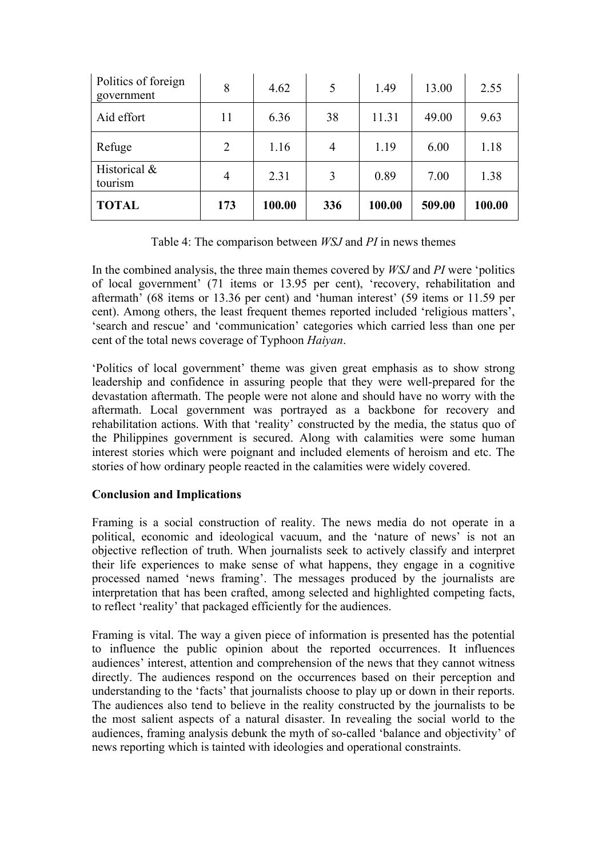| Politics of foreign<br>government | 8   | 4.62   | 5   | 1.49   | 13.00  | 2.55   |
|-----------------------------------|-----|--------|-----|--------|--------|--------|
| Aid effort                        | 11  | 6.36   | 38  | 11.31  | 49.00  | 9.63   |
| Refuge                            | 2   | 1.16   | 4   | 1.19   | 6.00   | 1.18   |
| Historical &<br>tourism           | 4   | 2.31   | 3   | 0.89   | 7.00   | 1.38   |
| <b>TOTAL</b>                      | 173 | 100.00 | 336 | 100.00 | 509.00 | 100.00 |

Table 4: The comparison between *WSJ* and *PI* in news themes

In the combined analysis, the three main themes covered by *WSJ* and *PI* were 'politics of local government' (71 items or 13.95 per cent), 'recovery, rehabilitation and aftermath' (68 items or 13.36 per cent) and 'human interest' (59 items or 11.59 per cent). Among others, the least frequent themes reported included 'religious matters', 'search and rescue' and 'communication' categories which carried less than one per cent of the total news coverage of Typhoon *Haiyan*.

'Politics of local government' theme was given great emphasis as to show strong leadership and confidence in assuring people that they were well-prepared for the devastation aftermath. The people were not alone and should have no worry with the aftermath. Local government was portrayed as a backbone for recovery and rehabilitation actions. With that 'reality' constructed by the media, the status quo of the Philippines government is secured. Along with calamities were some human interest stories which were poignant and included elements of heroism and etc. The stories of how ordinary people reacted in the calamities were widely covered.

## **Conclusion and Implications**

Framing is a social construction of reality. The news media do not operate in a political, economic and ideological vacuum, and the 'nature of news' is not an objective reflection of truth. When journalists seek to actively classify and interpret their life experiences to make sense of what happens, they engage in a cognitive processed named 'news framing'. The messages produced by the journalists are interpretation that has been crafted, among selected and highlighted competing facts, to reflect 'reality' that packaged efficiently for the audiences.

Framing is vital. The way a given piece of information is presented has the potential to influence the public opinion about the reported occurrences. It influences audiences' interest, attention and comprehension of the news that they cannot witness directly. The audiences respond on the occurrences based on their perception and understanding to the 'facts' that journalists choose to play up or down in their reports. The audiences also tend to believe in the reality constructed by the journalists to be the most salient aspects of a natural disaster. In revealing the social world to the audiences, framing analysis debunk the myth of so-called 'balance and objectivity' of news reporting which is tainted with ideologies and operational constraints.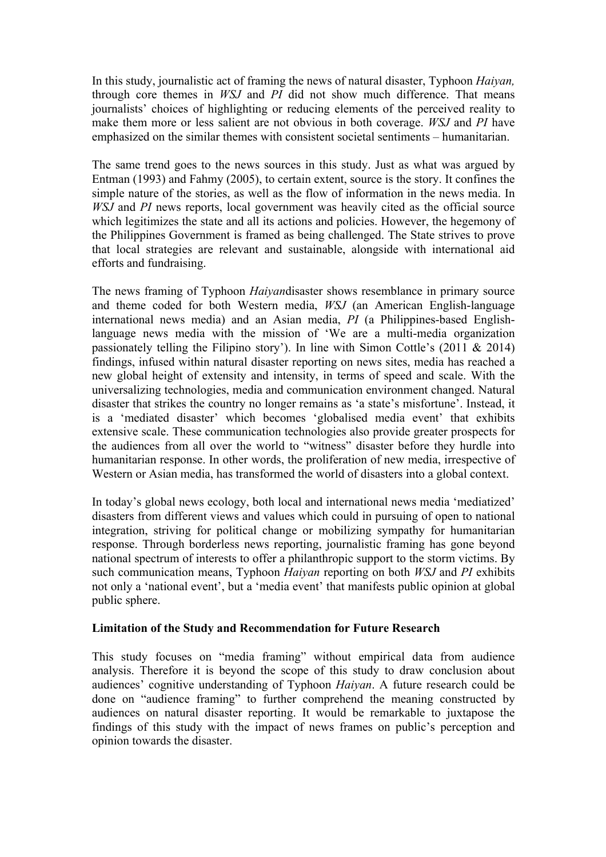In this study, journalistic act of framing the news of natural disaster, Typhoon *Haiyan,* through core themes in *WSJ* and *PI* did not show much difference. That means journalists' choices of highlighting or reducing elements of the perceived reality to make them more or less salient are not obvious in both coverage. *WSJ* and *PI* have emphasized on the similar themes with consistent societal sentiments – humanitarian.

The same trend goes to the news sources in this study. Just as what was argued by Entman (1993) and Fahmy (2005), to certain extent, source is the story. It confines the simple nature of the stories, as well as the flow of information in the news media. In *WSJ* and *PI* news reports, local government was heavily cited as the official source which legitimizes the state and all its actions and policies. However, the hegemony of the Philippines Government is framed as being challenged. The State strives to prove that local strategies are relevant and sustainable, alongside with international aid efforts and fundraising.

The news framing of Typhoon *Haiyan*disaster shows resemblance in primary source and theme coded for both Western media, *WSJ* (an American English-language international news media) and an Asian media, *PI* (a Philippines-based Englishlanguage news media with the mission of 'We are a multi-media organization passionately telling the Filipino story'). In line with Simon Cottle's  $(2011 \& 2014)$ findings, infused within natural disaster reporting on news sites, media has reached a new global height of extensity and intensity, in terms of speed and scale. With the universalizing technologies, media and communication environment changed. Natural disaster that strikes the country no longer remains as 'a state's misfortune'. Instead, it is a 'mediated disaster' which becomes 'globalised media event' that exhibits extensive scale. These communication technologies also provide greater prospects for the audiences from all over the world to "witness" disaster before they hurdle into humanitarian response. In other words, the proliferation of new media, irrespective of Western or Asian media, has transformed the world of disasters into a global context.

In today's global news ecology, both local and international news media 'mediatized' disasters from different views and values which could in pursuing of open to national integration, striving for political change or mobilizing sympathy for humanitarian response. Through borderless news reporting, journalistic framing has gone beyond national spectrum of interests to offer a philanthropic support to the storm victims. By such communication means, Typhoon *Haiyan* reporting on both *WSJ* and *PI* exhibits not only a 'national event', but a 'media event' that manifests public opinion at global public sphere.

## **Limitation of the Study and Recommendation for Future Research**

This study focuses on "media framing" without empirical data from audience analysis. Therefore it is beyond the scope of this study to draw conclusion about audiences' cognitive understanding of Typhoon *Haiyan*. A future research could be done on "audience framing" to further comprehend the meaning constructed by audiences on natural disaster reporting. It would be remarkable to juxtapose the findings of this study with the impact of news frames on public's perception and opinion towards the disaster.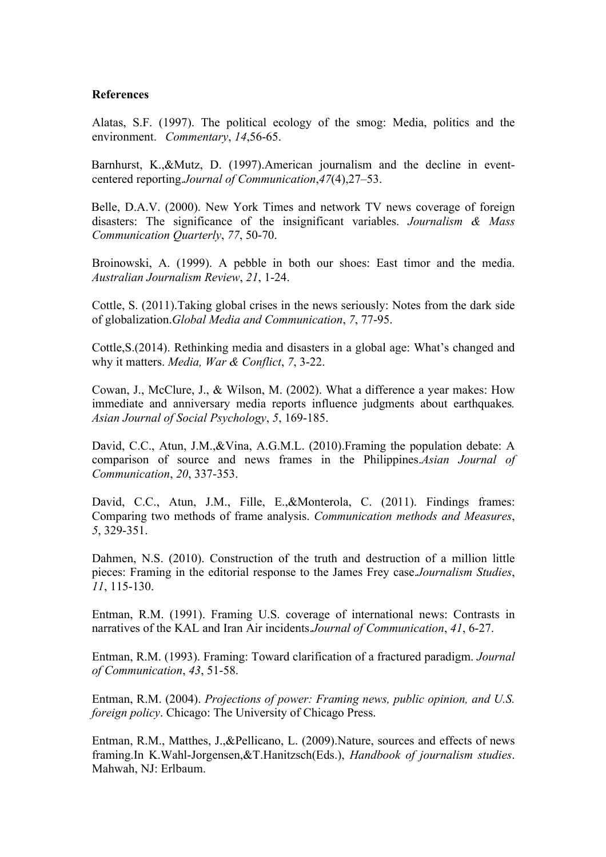#### **References**

Alatas, S.F. (1997). The political ecology of the smog: Media, politics and the environment. *Commentary*, *14*,56-65.

Barnhurst, K.,&Mutz, D. (1997).American journalism and the decline in eventcentered reporting.*Journal of Communication*,*47*(4),27–53.

Belle, D.A.V. (2000). New York Times and network TV news coverage of foreign disasters: The significance of the insignificant variables. *Journalism & Mass Communication Quarterly*, *77*, 50-70.

Broinowski, A. (1999). A pebble in both our shoes: East timor and the media. *Australian Journalism Review*, *21*, 1-24.

Cottle, S. (2011).Taking global crises in the news seriously: Notes from the dark side of globalization.*Global Media and Communication*, *7*, 77-95.

Cottle,S.(2014). Rethinking media and disasters in a global age: What's changed and why it matters. *Media, War & Conflict*, *7*, 3-22.

Cowan, J., McClure, J., & Wilson, M. (2002). What a difference a year makes: How immediate and anniversary media reports influence judgments about earthquakes*. Asian Journal of Social Psychology*, *5*, 169-185.

David, C.C., Atun, J.M.,&Vina, A.G.M.L. (2010).Framing the population debate: A comparison of source and news frames in the Philippines.*Asian Journal of Communication*, *20*, 337-353.

David, C.C., Atun, J.M., Fille, E.,&Monterola, C. (2011). Findings frames: Comparing two methods of frame analysis. *Communication methods and Measures*, *5*, 329-351.

Dahmen, N.S. (2010). Construction of the truth and destruction of a million little pieces: Framing in the editorial response to the James Frey case.*Journalism Studies*, *11*, 115-130.

Entman, R.M. (1991). Framing U.S. coverage of international news: Contrasts in narratives of the KAL and Iran Air incidents.*Journal of Communication*, *41*, 6-27.

Entman, R.M. (1993). Framing: Toward clarification of a fractured paradigm. *Journal of Communication*, *43*, 51-58.

Entman, R.M. (2004). *Projections of power: Framing news, public opinion, and U.S. foreign policy*. Chicago: The University of Chicago Press.

Entman, R.M., Matthes, J.,&Pellicano, L. (2009).Nature, sources and effects of news framing.In K.Wahl-Jorgensen,&T.Hanitzsch(Eds.), *Handbook of journalism studies*. Mahwah, NJ: Erlbaum.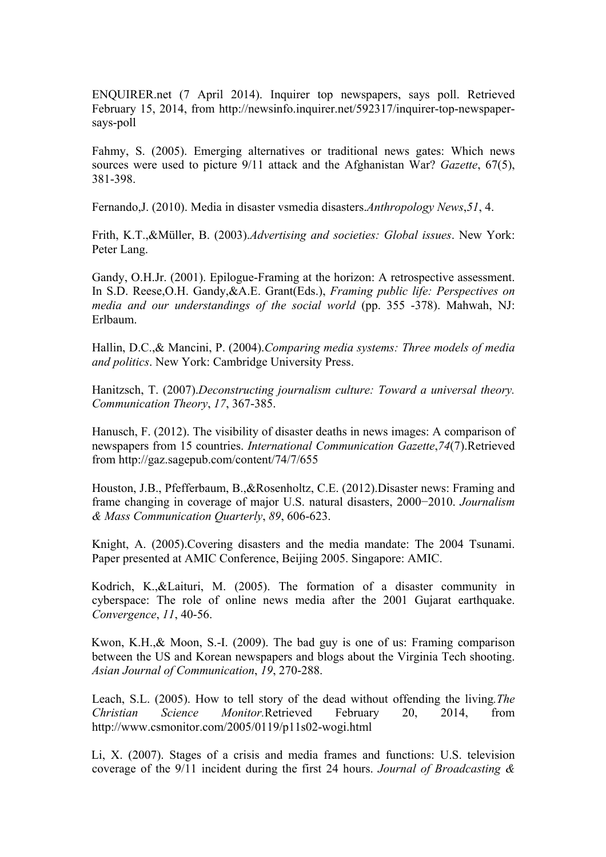ENQUIRER.net (7 April 2014). Inquirer top newspapers, says poll. Retrieved February 15, 2014, from http://newsinfo.inquirer.net/592317/inquirer-top-newspapersays-poll

Fahmy, S. (2005). Emerging alternatives or traditional news gates: Which news sources were used to picture 9/11 attack and the Afghanistan War? *Gazette*, 67(5), 381-398.

Fernando,J. (2010). Media in disaster vsmedia disasters.*Anthropology News*,*51*, 4.

Frith, K.T.,&Müller, B. (2003).*Advertising and societies: Global issues*. New York: Peter Lang.

Gandy, O.H.Jr. (2001). Epilogue-Framing at the horizon: A retrospective assessment. In S.D. Reese,O.H. Gandy,&A.E. Grant(Eds.), *Framing public life: Perspectives on media and our understandings of the social world* (pp. 355 -378). Mahwah, NJ: Erlbaum.

Hallin, D.C.,& Mancini, P. (2004).*Comparing media systems: Three models of media and politics*. New York: Cambridge University Press.

Hanitzsch, T. (2007).*Deconstructing journalism culture: Toward a universal theory. Communication Theory*, *17*, 367-385.

Hanusch, F. (2012). The visibility of disaster deaths in news images: A comparison of newspapers from 15 countries. *International Communication Gazette*,*74*(7).Retrieved from http://gaz.sagepub.com/content/74/7/655

Houston, J.B., Pfefferbaum, B.,&Rosenholtz, C.E. (2012).Disaster news: Framing and frame changing in coverage of major U.S. natural disasters, 2000−2010. *Journalism & Mass Communication Quarterly*, *89*, 606-623.

Knight, A. (2005).Covering disasters and the media mandate: The 2004 Tsunami. Paper presented at AMIC Conference, Beijing 2005. Singapore: AMIC.

Kodrich, K.,&Laituri, M. (2005). The formation of a disaster community in cyberspace: The role of online news media after the 2001 Gujarat earthquake. *Convergence*, *11*, 40-56.

Kwon, K.H.,& Moon, S.-I. (2009). The bad guy is one of us: Framing comparison between the US and Korean newspapers and blogs about the Virginia Tech shooting. *Asian Journal of Communication*, *19*, 270-288.

Leach, S.L. (2005). How to tell story of the dead without offending the living*.The Christian Science Monitor.*Retrieved February 20, 2014, from http://www.csmonitor.com/2005/0119/p11s02-wogi.html

Li, X. (2007). Stages of a crisis and media frames and functions: U.S. television coverage of the 9/11 incident during the first 24 hours. *Journal of Broadcasting &*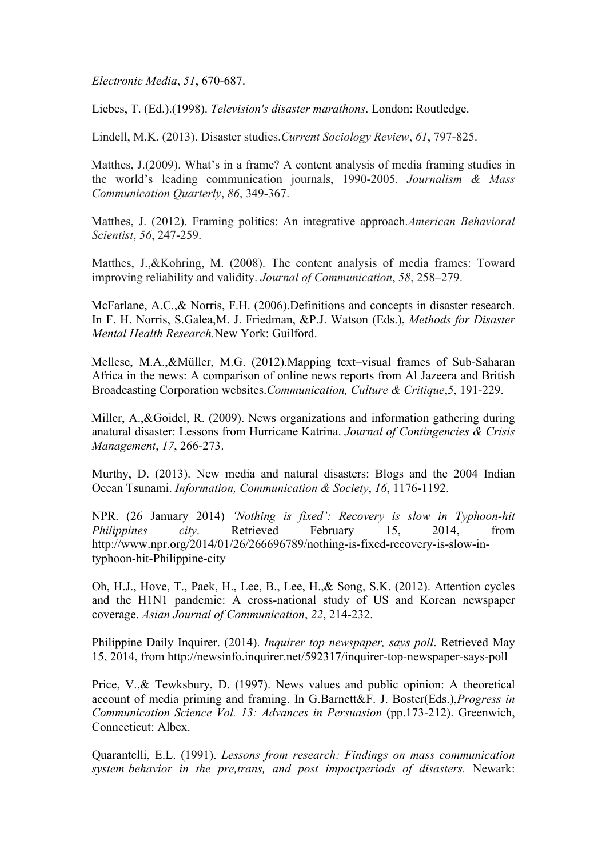*Electronic Media*, *51*, 670-687.

Liebes, T. (Ed.).(1998). *Television's disaster marathons*. London: Routledge.

Lindell, M.K. (2013). Disaster studies.*Current Sociology Review*, *61*, 797-825.

Matthes, J.(2009). What's in a frame? A content analysis of media framing studies in the world's leading communication journals, 1990-2005. *Journalism & Mass Communication Quarterly*, *86*, 349-367.

Matthes, J. (2012). Framing politics: An integrative approach.*American Behavioral Scientist*, *56*, 247-259.

Matthes, J.,&Kohring, M. (2008). The content analysis of media frames: Toward improving reliability and validity. *Journal of Communication*, *58*, 258–279.

McFarlane, A.C.,& Norris, F.H. (2006).Definitions and concepts in disaster research. In F. H. Norris, S.Galea,M. J. Friedman, &P.J. Watson (Eds.), *Methods for Disaster Mental Health Research.*New York: Guilford.

Mellese, M.A.,&Müller, M.G. (2012).Mapping text–visual frames of Sub-Saharan Africa in the news: A comparison of online news reports from Al Jazeera and British Broadcasting Corporation websites.*Communication, Culture & Critique*,*5*, 191-229.

Miller, A.,&Goidel, R. (2009). News organizations and information gathering during anatural disaster: Lessons from Hurricane Katrina. *Journal of Contingencies & Crisis Management*, *17*, 266-273.

Murthy, D. (2013). New media and natural disasters: Blogs and the 2004 Indian Ocean Tsunami. *Information, Communication & Society*, *16*, 1176-1192.

NPR. (26 January 2014) *'Nothing is fixed': Recovery is slow in Typhoon-hit Philippines city*. Retrieved February 15, 2014, from http://www.npr.org/2014/01/26/266696789/nothing-is-fixed-recovery-is-slow-intyphoon-hit-Philippine-city

Oh, H.J., Hove, T., Paek, H., Lee, B., Lee, H.,& Song, S.K. (2012). Attention cycles and the H1N1 pandemic: A cross-national study of US and Korean newspaper coverage. *Asian Journal of Communication*, *22*, 214-232.

Philippine Daily Inquirer. (2014). *Inquirer top newspaper, says poll*. Retrieved May 15, 2014, from http://newsinfo.inquirer.net/592317/inquirer-top-newspaper-says-poll

Price, V.,& Tewksbury, D. (1997). News values and public opinion: A theoretical account of media priming and framing. In G.Barnett&F. J. Boster(Eds.),*Progress in Communication Science Vol. 13: Advances in Persuasion* (pp.173-212). Greenwich, Connecticut: Albex.

Quarantelli, E.L. (1991). *Lessons from research: Findings on mass communication system behavior in the pre,trans, and post impactperiods of disasters.* Newark: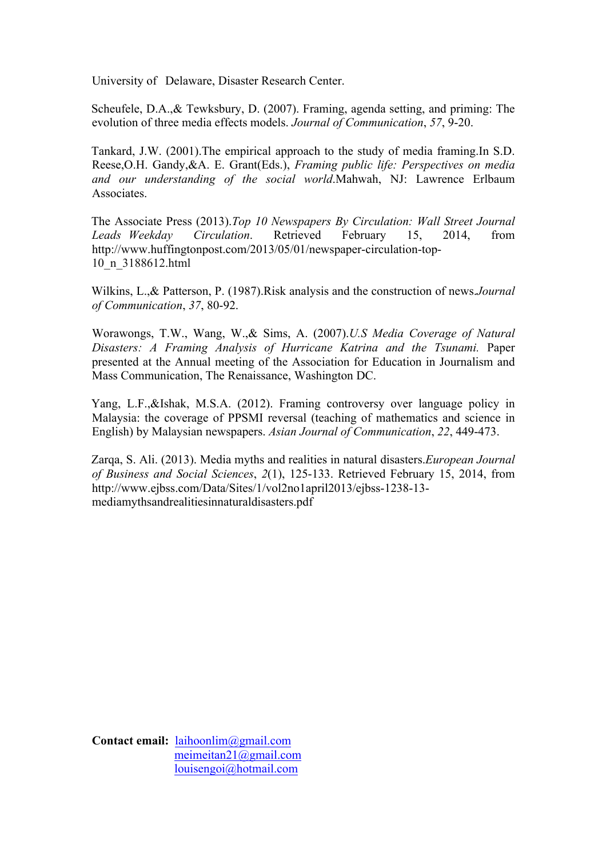University of Delaware, Disaster Research Center.

Scheufele, D.A.,& Tewksbury, D. (2007). Framing, agenda setting, and priming: The evolution of three media effects models. *Journal of Communication*, *57*, 9-20.

Tankard, J.W. (2001).The empirical approach to the study of media framing.In S.D. Reese,O.H. Gandy,&A. E. Grant(Eds.), *Framing public life: Perspectives on media and our understanding of the social world*.Mahwah, NJ: Lawrence Erlbaum Associates.

The Associate Press (2013).*Top 10 Newspapers By Circulation: Wall Street Journal Leads Weekday Circulation*. Retrieved February 15, 2014, from http://www.huffingtonpost.com/2013/05/01/newspaper-circulation-top-10\_n\_3188612.html

Wilkins, L.,& Patterson, P. (1987).Risk analysis and the construction of news.*Journal of Communication*, *37*, 80-92.

Worawongs, T.W., Wang, W.,& Sims, A. (2007).*U.S Media Coverage of Natural Disasters: A Framing Analysis of Hurricane Katrina and the Tsunami.* Paper presented at the Annual meeting of the Association for Education in Journalism and Mass Communication, The Renaissance, Washington DC.

Yang, L.F.,&Ishak, M.S.A. (2012). Framing controversy over language policy in Malaysia: the coverage of PPSMI reversal (teaching of mathematics and science in English) by Malaysian newspapers. *Asian Journal of Communication*, *22*, 449-473.

Zarqa, S. Ali. (2013). Media myths and realities in natural disasters.*European Journal of Business and Social Sciences*, *2*(1), 125-133. Retrieved February 15, 2014, from http://www.ejbss.com/Data/Sites/1/vol2no1april2013/ejbss-1238-13 mediamythsandrealitiesinnaturaldisasters.pdf

**Contact email:** laihoonlim@gmail.com meimeitan21@gmail.com louisengoi@hotmail.com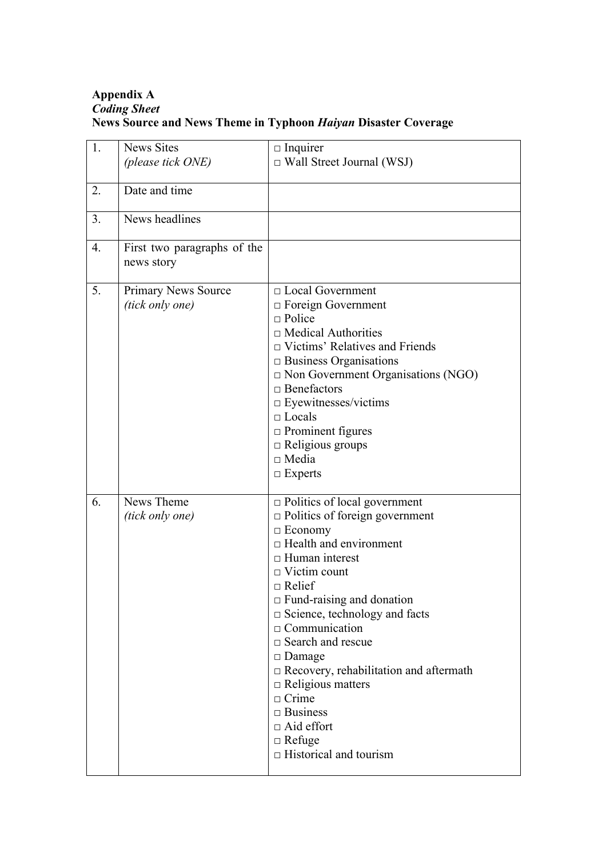# **Appendix A** *Coding Sheet* **News Source and News Theme in Typhoon** *Haiyan* **Disaster Coverage**

| 1. | <b>News Sites</b><br>(please tick ONE)        | $\Box$ Inquirer<br>$\Box$ Wall Street Journal (WSJ)                                                                                                                                                                                                                                                                                                                                                                                                                                                                                      |
|----|-----------------------------------------------|------------------------------------------------------------------------------------------------------------------------------------------------------------------------------------------------------------------------------------------------------------------------------------------------------------------------------------------------------------------------------------------------------------------------------------------------------------------------------------------------------------------------------------------|
| 2. | Date and time                                 |                                                                                                                                                                                                                                                                                                                                                                                                                                                                                                                                          |
| 3. | News headlines                                |                                                                                                                                                                                                                                                                                                                                                                                                                                                                                                                                          |
| 4. | First two paragraphs of the<br>news story     |                                                                                                                                                                                                                                                                                                                                                                                                                                                                                                                                          |
| 5. | <b>Primary News Source</b><br>(tick only one) | $\Box$ Local Government<br>$\Box$ Foreign Government<br>$\Box$ Police<br>$\Box$ Medical Authorities<br>$\Box$ Victims' Relatives and Friends<br>$\Box$ Business Organisations<br>$\Box$ Non Government Organisations (NGO)<br>$\Box$ Benefactors<br>$\Box$ Eyewitnesses/victims<br>$\Box$ Locals<br>$\Box$ Prominent figures<br>$\Box$ Religious groups<br>$\Box$ Media<br>$\Box$ Experts                                                                                                                                                |
| 6. | News Theme<br>(tick only one)                 | $\Box$ Politics of local government<br>$\Box$ Politics of foreign government<br>$\Box$ Economy<br>$\Box$ Health and environment<br>$\Box$ Human interest<br>$\Box$ Victim count<br>$\Box$ Relief<br>$\Box$ Fund-raising and donation<br>$\Box$ Science, technology and facts<br>$\Box$ Communication<br>$\Box$ Search and rescue<br>$\Box$ Damage<br>$\Box$ Recovery, rehabilitation and aftermath<br>$\Box$ Religious matters<br>$\Box$ Crime<br>$\Box$ Business<br>$\Box$ Aid effort<br>$\Box$ Refuge<br>$\Box$ Historical and tourism |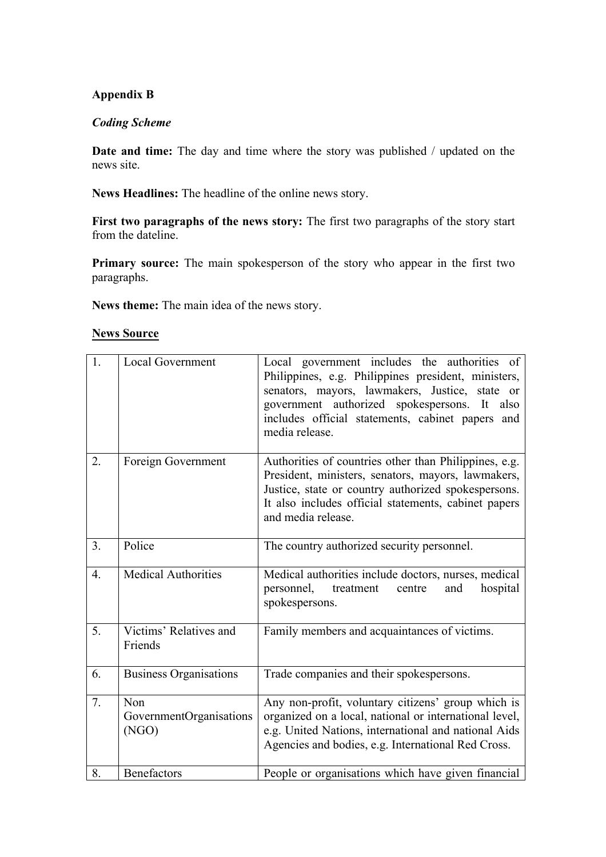## **Appendix B**

#### *Coding Scheme*

**Date and time:** The day and time where the story was published / updated on the news site.

**News Headlines:** The headline of the online news story.

**First two paragraphs of the news story:** The first two paragraphs of the story start from the dateline.

**Primary source:** The main spokesperson of the story who appear in the first two paragraphs.

**News theme:** The main idea of the news story.

| <b>News Source</b> |
|--------------------|
|                    |

| 1.               | <b>Local Government</b>                 | Local government includes the authorities of<br>Philippines, e.g. Philippines president, ministers,<br>senators, mayors, lawmakers, Justice, state or<br>government authorized spokespersons. It<br>also<br>includes official statements, cabinet papers and<br>media release. |
|------------------|-----------------------------------------|--------------------------------------------------------------------------------------------------------------------------------------------------------------------------------------------------------------------------------------------------------------------------------|
| 2.               | Foreign Government                      | Authorities of countries other than Philippines, e.g.<br>President, ministers, senators, mayors, lawmakers,<br>Justice, state or country authorized spokespersons.<br>It also includes official statements, cabinet papers<br>and media release.                               |
| 3 <sub>1</sub>   | Police                                  | The country authorized security personnel.                                                                                                                                                                                                                                     |
| $\overline{4}$ . | <b>Medical Authorities</b>              | Medical authorities include doctors, nurses, medical<br>personnel,<br>treatment<br>centre<br>hospital<br>and<br>spokespersons.                                                                                                                                                 |
| 5.               | Victims' Relatives and<br>Friends       | Family members and acquaintances of victims.                                                                                                                                                                                                                                   |
| 6.               | <b>Business Organisations</b>           | Trade companies and their spokespersons.                                                                                                                                                                                                                                       |
| 7.               | Non<br>GovernmentOrganisations<br>(NGO) | Any non-profit, voluntary citizens' group which is<br>organized on a local, national or international level,<br>e.g. United Nations, international and national Aids<br>Agencies and bodies, e.g. International Red Cross.                                                     |
| 8.               | <b>Benefactors</b>                      | People or organisations which have given financial                                                                                                                                                                                                                             |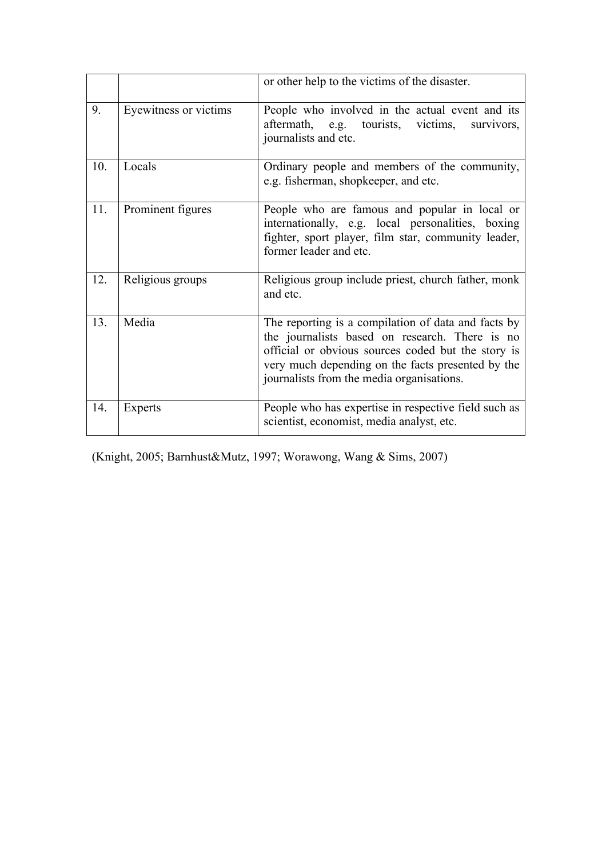|     |                       | or other help to the victims of the disaster.                                                                                                                                                                                                                 |
|-----|-----------------------|---------------------------------------------------------------------------------------------------------------------------------------------------------------------------------------------------------------------------------------------------------------|
| 9.  | Eyewitness or victims | People who involved in the actual event and its<br>aftermath, e.g. tourists, victims,<br>survivors,<br>journalists and etc.                                                                                                                                   |
| 10. | Locals                | Ordinary people and members of the community,<br>e.g. fisherman, shopkeeper, and etc.                                                                                                                                                                         |
| 11. | Prominent figures     | People who are famous and popular in local or<br>internationally, e.g. local personalities, boxing<br>fighter, sport player, film star, community leader,<br>former leader and etc.                                                                           |
| 12. | Religious groups      | Religious group include priest, church father, monk<br>and etc.                                                                                                                                                                                               |
| 13. | Media                 | The reporting is a compilation of data and facts by<br>the journalists based on research. There is no<br>official or obvious sources coded but the story is<br>very much depending on the facts presented by the<br>journalists from the media organisations. |
| 14. | Experts               | People who has expertise in respective field such as<br>scientist, economist, media analyst, etc.                                                                                                                                                             |

(Knight, 2005; Barnhust&Mutz, 1997; Worawong, Wang & Sims, 2007)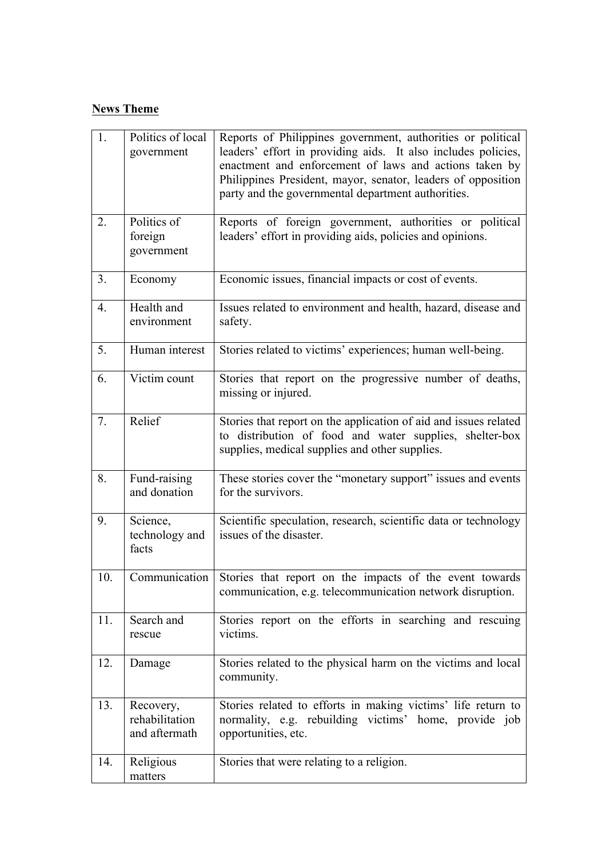# **News Theme**

| 1.             | Politics of local<br>government              | Reports of Philippines government, authorities or political<br>leaders' effort in providing aids. It also includes policies,<br>enactment and enforcement of laws and actions taken by<br>Philippines President, mayor, senator, leaders of opposition<br>party and the governmental department authorities. |
|----------------|----------------------------------------------|--------------------------------------------------------------------------------------------------------------------------------------------------------------------------------------------------------------------------------------------------------------------------------------------------------------|
| 2.             | Politics of<br>foreign<br>government         | Reports of foreign government, authorities or political<br>leaders' effort in providing aids, policies and opinions.                                                                                                                                                                                         |
| 3 <sub>1</sub> | Economy                                      | Economic issues, financial impacts or cost of events.                                                                                                                                                                                                                                                        |
| 4.             | Health and<br>environment                    | Issues related to environment and health, hazard, disease and<br>safety.                                                                                                                                                                                                                                     |
| 5.             | Human interest                               | Stories related to victims' experiences; human well-being.                                                                                                                                                                                                                                                   |
| 6.             | Victim count                                 | Stories that report on the progressive number of deaths,<br>missing or injured.                                                                                                                                                                                                                              |
| 7.             | Relief                                       | Stories that report on the application of aid and issues related<br>to distribution of food and water supplies, shelter-box<br>supplies, medical supplies and other supplies.                                                                                                                                |
| 8.             | Fund-raising<br>and donation                 | These stories cover the "monetary support" issues and events<br>for the survivors.                                                                                                                                                                                                                           |
| 9.             | Science,<br>technology and<br>facts          | Scientific speculation, research, scientific data or technology<br>issues of the disaster.                                                                                                                                                                                                                   |
| 10.            | Communication                                | Stories that report on the impacts of the event towards<br>communication, e.g. telecommunication network disruption.                                                                                                                                                                                         |
| 11.            | Search and<br>rescue                         | Stories report on the efforts in searching and rescuing<br>victims.                                                                                                                                                                                                                                          |
| 12.            | Damage                                       | Stories related to the physical harm on the victims and local<br>community.                                                                                                                                                                                                                                  |
| 13.            | Recovery,<br>rehabilitation<br>and aftermath | Stories related to efforts in making victims' life return to<br>normality, e.g. rebuilding victims' home, provide job<br>opportunities, etc.                                                                                                                                                                 |
| 14.            | Religious<br>matters                         | Stories that were relating to a religion.                                                                                                                                                                                                                                                                    |